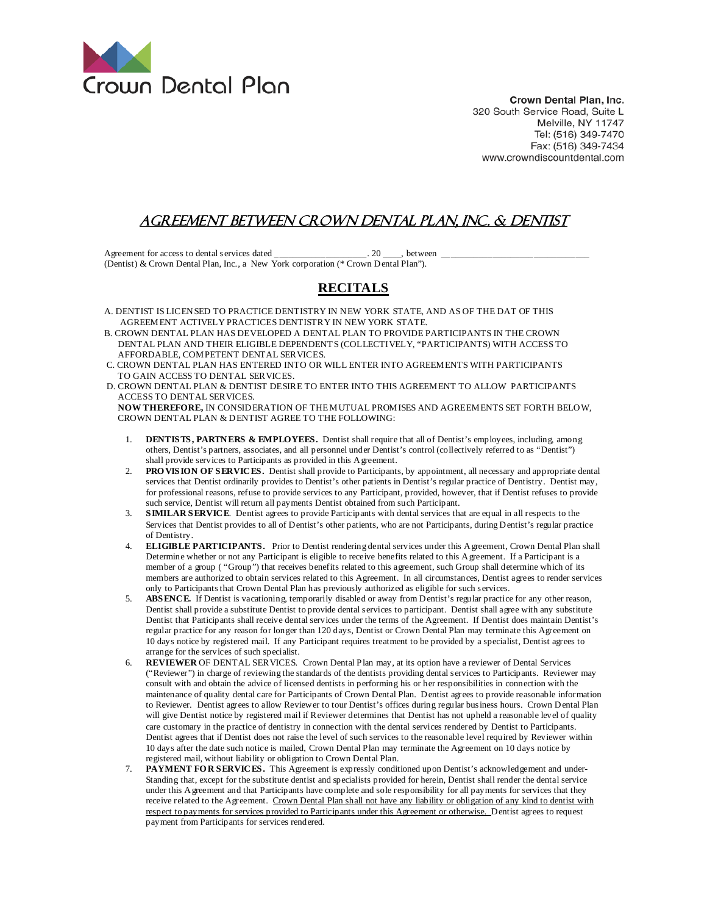

Crown Dental Plan, Inc. 320 South Service Road, Suite L Melville, NY 11747 Tel: (516) 349-7470 Fax: (516) 349-7434 www.crowndiscountdental.com

## agreement between crown dental plan, inc. & dentist

Agreement for access to dental services dated \_\_\_\_\_\_\_\_\_\_\_\_\_\_\_\_\_\_\_\_. 20 \_\_\_\_, between \_\_\_\_\_\_\_\_\_\_\_\_\_\_\_\_\_\_\_\_\_\_\_\_\_\_\_\_\_\_\_\_ (Dentist) & Crown Dental Plan, Inc., a New York corporation (\* Crown Dental Plan").

## **RECITALS**

- A. DENTIST IS LICENSED TO PRACTICE DENTISTRY IN NEW YORK STATE, AND AS OF THE DAT OF THIS AGREEMENT ACTIVELY PRACTICES DENTISTRY IN NEW YORK STATE.
- B. CROWN DENTAL PLAN HAS DEVELOPED A DENTAL PLAN TO PROVIDE PARTICIPANTS IN THE CROWN DENTAL PLAN AND THEIR ELIGIBLE DEPENDENT S (COLLECTIVELY, "PARTICIPANTS) WITH ACCESS TO AFFORDABLE, COMPETENT DENTAL SERVICES.
- C. CROWN DENTAL PLAN HAS ENTERED INTO OR WILL ENTER INTO AGREEMENTS WITH PARTICIPANTS TO GAIN ACCESS TO DENTAL SERVICES.
- D. CROWN DENTAL PLAN & DENTIST DESIRE TO ENTER INTO THIS AGREEMENT TO ALLOW PARTICIPANTS ACCESS TO DENTAL SERVICES.

 **NOW THEREFORE,** IN CONSIDERATION OF THE MUTUAL PROMISES AND AGREEMENTS SET FORTH BELOW, CROWN DENTAL PLAN & DENTIST AGREE TO THE FOLLOWING:

- 1. **DENTISTS, PARTNERS & EMPLOYEES.** Dentist shall require that all of Dentist's employees, including, among others, Dentist's partners, associates, and all personnel under Dentist's control (collectively referred to as "Dentist") shall provide services to Participants as provided in this Agreement.
- 2. **PRO VISION OF SERVICES.** Dentist shall provide to Participants, by appointment, all necessary and appropriate dental services that Dentist ordinarily provides to Dentist's other patients in Dentist's regular practice of Dentistry. Dentist may, for professional reasons, refuse to provide services to any Participant, provided, however, that if Dentist refuses to provide such service, Dentist will return all payments Dentist obtained from such Participant.
- 3. **SIMILAR SERVICE**. Dentist agrees to provide Participants with dental services that are equal in all respects to the Services that Dentist provides to all of Dentist's other patients, who are not Participants, during Dentist's regular practice of Dentistry.
- 4. **ELIGIBLE PARTICIPANTS.** Prior to Dentist rendering dental services under this Agreement, Crown Dental Plan shall Determine whether or not any Participant is eligible to receive benefits related to this Agreement. If a Participant is a member of a group ( "Group") that receives benefits related to this agreement, such Group shall determine which of its members are authorized to obtain services related to this Agreement. In all circumstances, Dentist agrees to render services only to Participants that Crown Dental Plan has previously authorized as eligible for such services.
- 5. **ABSENCE.** If Dentist is vacationing, temporarily disabled or away from Dentist's regular practice for any other reason, Dentist shall provide a substitute Dentist to provide dental services to participant. Dentist shall agree with any substitute Dentist that Participants shall receive dental services under the terms of the Agreement. If Dentist does maintain Dentist's regular practice for any reason for longer than 120 days, Dentist or Crown Dental Plan may terminate this Agreement on 10 days notice by registered mail. If any Participant requires treatment to be provided by a specialist, Dentist agrees to arrange for the services of such specialist.
- 6. **REVIEWER** OF DENTAL SERVICES. Crown Dental Plan may, at its option have a reviewer of Dental Services ("Reviewer") in charge of reviewing the standards of the dentists providing dental services to Participants. Reviewer may consult with and obtain the advice of licensed dentists in performing his or her responsibilities in connection with the maintenance of quality dental care for Participants of Crown Dental Plan. Dentist agrees to provide reasonable information to Reviewer. Dentist agrees to allow Reviewer to tour Dentist's offices during regular business hours. Crown Dental Plan will give Dentist notice by registered mail if Reviewer determines that Dentist has not upheld a reasonable level of quality care customary in the practice of dentistry in connection with the dental services rendered by Dentist to Participants. Dentist agrees that if Dentist does not raise the level of such services to the reasonable level required by Reviewer within 10 days after the date such notice is mailed, Crown Dental Plan may terminate the Agreement on 10 days notice by registered mail, without liability or obligation to Crown Dental Plan.
- 7. **PAYMENT FO R SERVICES.** This Agreement is expressly conditioned upon Dentist's acknowledgement and under-Standing that, except for the substitute dentist and specialists provided for herein, Dentist shall render the dental service under this Agreement and that Participants have complete and sole responsibility for all payments for services that they receive related to the Agreement. Crown Dental Plan shall not have any liability or obligation of any kind to dentist with respect to payments for services provided to Participants under this Agreement or otherwise. Dentist agrees to request payment from Participants for services rendered.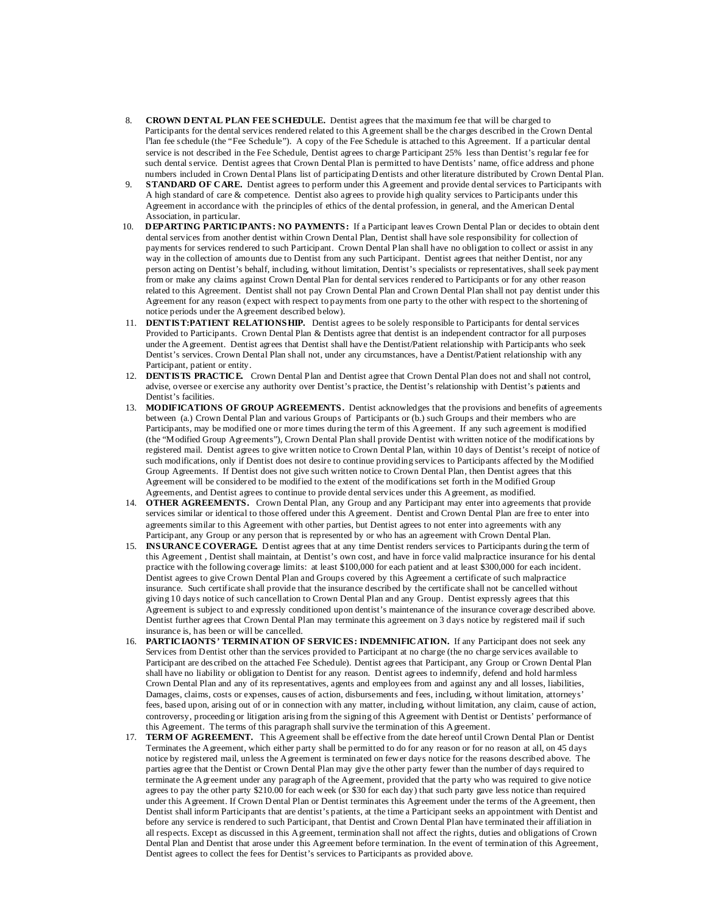- 8. **CROWN DENTAL PLAN FEE SCHEDULE.** Dentist agrees that the maximum fee that will be charged to Participants for the dental services rendered related to this Agreement shall be the charges described in the Crown Dental Plan fee schedule (the "Fee Schedule"). A copy of the Fee Schedule is attached to this Agreement. If a particular dental service is not described in the Fee Schedule, Dentist agrees to charge Participant 25% less than Dentist's regular fee for such dental service. Dentist agrees that Crown Dental Plan is permitted to have Dentists' name, office address and phone numbers included in Crown Dental Plans list of participating Dentists and other literature distributed by Crown Dental Plan.<br>**STANDARD OF CARE**. Dentist agrees to perform under this A greement and provide dental services t
- **STANDARD OF CARE.** Dentist agrees to perform under this Agreement and provide dental services to Participants with A high standard of care & competence. Dentist also agrees to provide high quality services to Participants under this Agreement in accordance with the principles of ethics of the dental profession, in general, and the American Dental Association, in particular.
- 10. **DEPARTING PARTICIPANTS: NO PAYMENTS:** If a Participant leaves Crown Dental Plan or decides to obtain dent dental services from another dentist within Crown Dental Plan, Dentist shall have sole responsibility for collection of payments for services rendered to such Participant. Crown Dental Plan shall have no obligation to collect or assist in any way in the collection of amounts due to Dentist from any such Participant. Dentist agrees that neither Dentist, nor any person acting on Dentist's behalf, including, without limitation, Dentist's specialists or representatives, shall seek payment from or make any claims against Crown Dental Plan for dental services rendered to Participants or for any other reason related to this Agreement. Dentist shall not pay Crown Dental Plan and Crown Dental Plan shall not pay dentist under this Agreement for any reason (expect with respect to payments from one party to the other with respect to the shortening of notice periods under the Agreement described below).
- 11. **DENTIST:PATIENT RELATIONSHIP.** Dentist agrees to be solely responsible to Participants for dental services Provided to Participants. Crown Dental Plan & Dentists agree that dentist is an independent contractor for all purposes under the Agreement. Dentist agrees that Dentist shall have the Dentist/Patient relationship with Participants who seek Dentist's services. Crown Dental Plan shall not, under any circumstances, have a Dentist/Patient relationship with any Participant, patient or entity.
- 12. **DENTISTS PRACTICE.** Crown Dental Plan and Dentist agree that Crown Dental Plan does not and shall not control, advise, oversee or exercise any authority over Dentist's practice, the Dentist's relationship with Dentist's patients and Dentist's facilities.
- 13. **MODIFICATIONS OF GROUP AGREEMENTS.** Dentist acknowledges that the provisions and benefits of agreements between (a.) Crown Dental Plan and various Groups of Participants or (b.) such Groups and their members who are Participants, may be modified one or more times during the term of this Agreement. If any such agreement is modified (the "Modified Group Agreements"), Crown Dental Plan shall provide Dentist with written notice of the modifications by registered mail. Dentist agrees to give written notice to Crown Dental Plan, within 10 days of Dentist's receipt of notice of such modifications, only if Dentist does not desire to continue providing services to Participants affected by the Modified Group Agreements. If Dentist does not give such written notice to Crown Dental Plan, then Dentist agrees that this Agreement will be considered to be modified to the extent of the modifications set forth in the Modified Group Agreements, and Dentist agrees to continue to provide dental services under this Agreement, as modified.
- 14. **OTHER AGREEMENTS.** Crown Dental Plan, any Group and any Participant may enter into agreements that provide services similar or identical to those offered under this Agreement. Dentist and Crown Dental Plan are free to enter into agreements similar to this Agreement with other parties, but Dentist agrees to not enter into agreements with any Participant, any Group or any person that is represented by or who has an agreement with Crown Dental Plan.
- 15. **INSURANCE COVERAGE.** Dentist agrees that at any time Dentist renders services to Participants during the term of this Agreement , Dentist shall maintain, at Dentist's own cost, and have in force valid malpractice insurance for his dental practice with the following coverage limits: at least \$100,000 for each patient and at least \$300,000 for each incident. Dentist agrees to give Crown Dental Plan and Groups covered by this Agreement a certificate of such malpractice insurance. Such certificate shall provide that the insurance described by the certificate shall not be cancelled without giving 10 days notice of such cancellation to Crown Dental Plan and any Group. Dentist expressly agrees that this Agreement is subject to and expressly conditioned upon dentist's maintenance of the insurance coverage described above. Dentist further agrees that Crown Dental Plan may terminate this agreement on 3 days notice by registered mail if such insurance is, has been or will be cancelled.
- 16. **PARTICIAONTS' TERMINATION OF SERVICES: INDEMNIFICATION.** If any Participant does not seek any Services from Dentist other than the services provided to Participant at no charge (the no charge services available to Participant are described on the attached Fee Schedule). Dentist agrees that Participant, any Group or Crown Dental Plan shall have no liability or obligation to Dentist for any reason. Dentist agrees to indemnify, defend and hold harmless Crown Dental Plan and any of its representatives, agents and employees from and against any and all losses, liabilities, Damages, claims, costs or expenses, causes of action, disbursements and fees, including, without limitation, attorneys' fees, based upon, arising out of or in connection with any matter, including, without limitation, any claim, cause of action, controversy, proceeding or litigation arising from the signing of this Agreement with Dentist or Dentists' performance of this Agreement. The terms of this paragraph shall survive the termination of this Agreement.
- 17. **TERM OF AGREEMENT.** This Agreement shall be effective from the date hereof until Crown Dental Plan or Dentist Terminates the Agreement, which either party shall be permitted to do for any reason or for no reason at all, on 45 days notice by registered mail, unless the Agreement is terminated on fewer days notice for the reasons described above. The parties agree that the Dentist or Crown Dental Plan may give the other party fewer than the number of days required to terminate the Agreement under any paragraph of the Agreement, provided that the party who was required to give notice agrees to pay the other party \$210.00 for each week (or \$30 for each day) that such party gave less notice than required under this Agreement. If Crown Dental Plan or Dentist terminates this Agreement under the terms of the Agreement, then Dentist shall inform Participants that are dentist's patients, at the time a Participant seeks an appointment with Dentist and before any service is rendered to such Participant, that Dentist and Crown Dental Plan have terminated their affiliation in all respects. Except as discussed in this Agreement, termination shall not affect the rights, duties and obligations of Crown Dental Plan and Dentist that arose under this Agreement before termination. In the event of termination of this Agreement, Dentist agrees to collect the fees for Dentist's services to Participants as provided above.